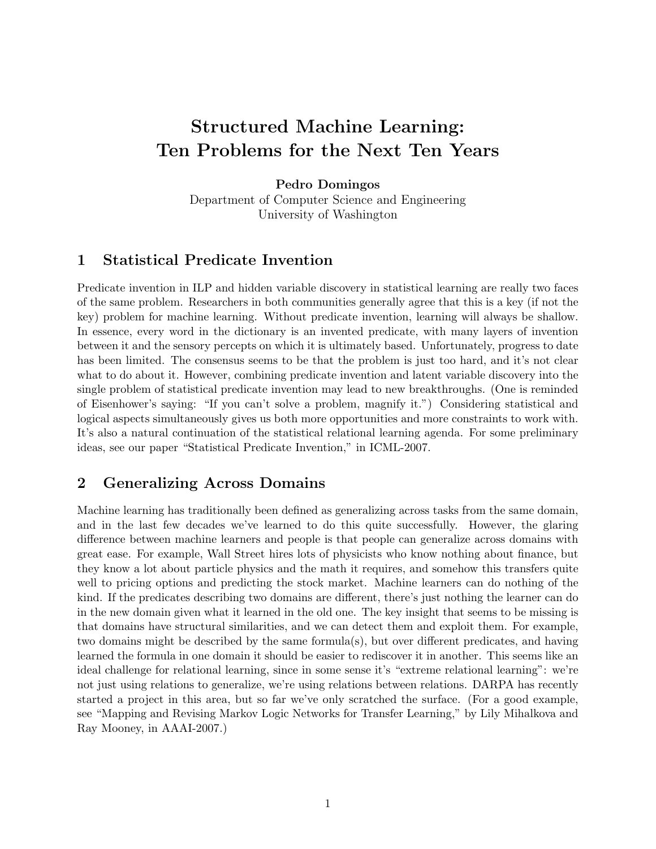# Structured Machine Learning: Ten Problems for the Next Ten Years

#### Pedro Domingos

Department of Computer Science and Engineering University of Washington

#### 1 Statistical Predicate Invention

Predicate invention in ILP and hidden variable discovery in statistical learning are really two faces of the same problem. Researchers in both communities generally agree that this is a key (if not the key) problem for machine learning. Without predicate invention, learning will always be shallow. In essence, every word in the dictionary is an invented predicate, with many layers of invention between it and the sensory percepts on which it is ultimately based. Unfortunately, progress to date has been limited. The consensus seems to be that the problem is just too hard, and it's not clear what to do about it. However, combining predicate invention and latent variable discovery into the single problem of statistical predicate invention may lead to new breakthroughs. (One is reminded of Eisenhower's saying: "If you can't solve a problem, magnify it.") Considering statistical and logical aspects simultaneously gives us both more opportunities and more constraints to work with. It's also a natural continuation of the statistical relational learning agenda. For some preliminary ideas, see our paper "Statistical Predicate Invention," in ICML-2007.

#### 2 Generalizing Across Domains

Machine learning has traditionally been defined as generalizing across tasks from the same domain, and in the last few decades we've learned to do this quite successfully. However, the glaring difference between machine learners and people is that people can generalize across domains with great ease. For example, Wall Street hires lots of physicists who know nothing about finance, but they know a lot about particle physics and the math it requires, and somehow this transfers quite well to pricing options and predicting the stock market. Machine learners can do nothing of the kind. If the predicates describing two domains are different, there's just nothing the learner can do in the new domain given what it learned in the old one. The key insight that seems to be missing is that domains have structural similarities, and we can detect them and exploit them. For example, two domains might be described by the same formula(s), but over different predicates, and having learned the formula in one domain it should be easier to rediscover it in another. This seems like an ideal challenge for relational learning, since in some sense it's "extreme relational learning": we're not just using relations to generalize, we're using relations between relations. DARPA has recently started a project in this area, but so far we've only scratched the surface. (For a good example, see "Mapping and Revising Markov Logic Networks for Transfer Learning," by Lily Mihalkova and Ray Mooney, in AAAI-2007.)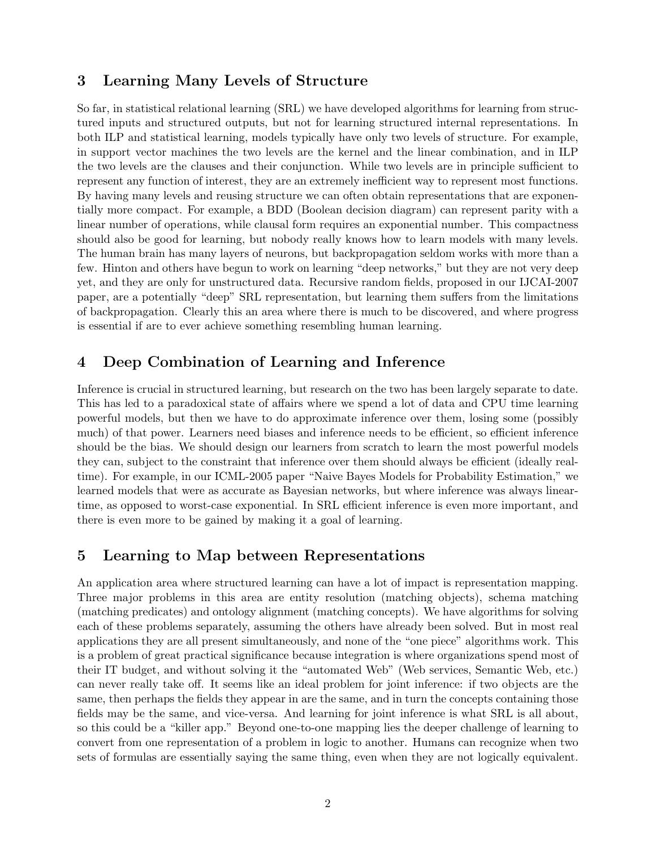#### 3 Learning Many Levels of Structure

So far, in statistical relational learning (SRL) we have developed algorithms for learning from structured inputs and structured outputs, but not for learning structured internal representations. In both ILP and statistical learning, models typically have only two levels of structure. For example, in support vector machines the two levels are the kernel and the linear combination, and in ILP the two levels are the clauses and their conjunction. While two levels are in principle sufficient to represent any function of interest, they are an extremely inefficient way to represent most functions. By having many levels and reusing structure we can often obtain representations that are exponentially more compact. For example, a BDD (Boolean decision diagram) can represent parity with a linear number of operations, while clausal form requires an exponential number. This compactness should also be good for learning, but nobody really knows how to learn models with many levels. The human brain has many layers of neurons, but backpropagation seldom works with more than a few. Hinton and others have begun to work on learning "deep networks," but they are not very deep yet, and they are only for unstructured data. Recursive random fields, proposed in our IJCAI-2007 paper, are a potentially "deep" SRL representation, but learning them suffers from the limitations of backpropagation. Clearly this an area where there is much to be discovered, and where progress is essential if are to ever achieve something resembling human learning.

## 4 Deep Combination of Learning and Inference

Inference is crucial in structured learning, but research on the two has been largely separate to date. This has led to a paradoxical state of affairs where we spend a lot of data and CPU time learning powerful models, but then we have to do approximate inference over them, losing some (possibly much) of that power. Learners need biases and inference needs to be efficient, so efficient inference should be the bias. We should design our learners from scratch to learn the most powerful models they can, subject to the constraint that inference over them should always be efficient (ideally realtime). For example, in our ICML-2005 paper "Naive Bayes Models for Probability Estimation," we learned models that were as accurate as Bayesian networks, but where inference was always lineartime, as opposed to worst-case exponential. In SRL efficient inference is even more important, and there is even more to be gained by making it a goal of learning.

## 5 Learning to Map between Representations

An application area where structured learning can have a lot of impact is representation mapping. Three major problems in this area are entity resolution (matching objects), schema matching (matching predicates) and ontology alignment (matching concepts). We have algorithms for solving each of these problems separately, assuming the others have already been solved. But in most real applications they are all present simultaneously, and none of the "one piece" algorithms work. This is a problem of great practical significance because integration is where organizations spend most of their IT budget, and without solving it the "automated Web" (Web services, Semantic Web, etc.) can never really take off. It seems like an ideal problem for joint inference: if two objects are the same, then perhaps the fields they appear in are the same, and in turn the concepts containing those fields may be the same, and vice-versa. And learning for joint inference is what SRL is all about, so this could be a "killer app." Beyond one-to-one mapping lies the deeper challenge of learning to convert from one representation of a problem in logic to another. Humans can recognize when two sets of formulas are essentially saying the same thing, even when they are not logically equivalent.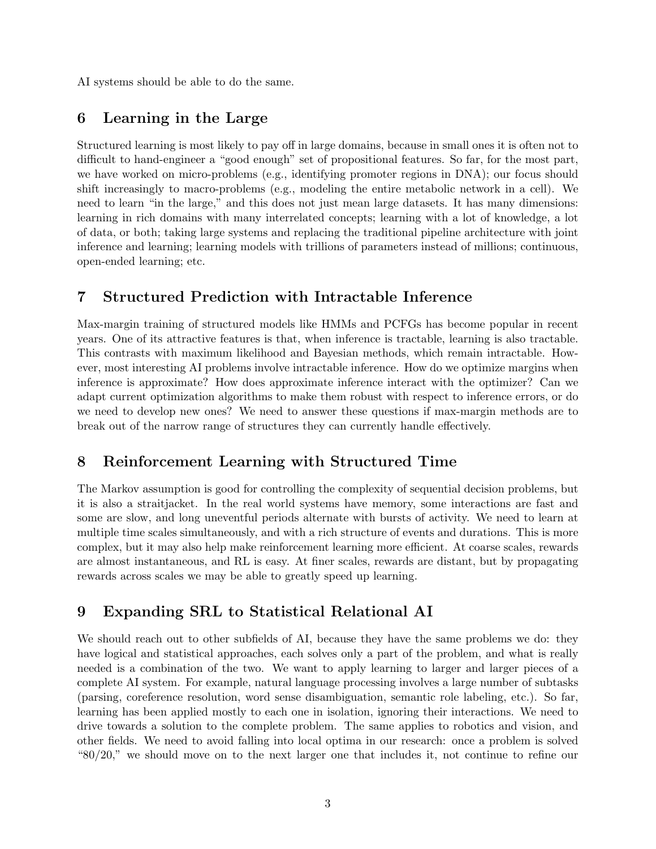AI systems should be able to do the same.

#### 6 Learning in the Large

Structured learning is most likely to pay off in large domains, because in small ones it is often not to difficult to hand-engineer a "good enough" set of propositional features. So far, for the most part, we have worked on micro-problems (e.g., identifying promoter regions in DNA); our focus should shift increasingly to macro-problems (e.g., modeling the entire metabolic network in a cell). We need to learn "in the large," and this does not just mean large datasets. It has many dimensions: learning in rich domains with many interrelated concepts; learning with a lot of knowledge, a lot of data, or both; taking large systems and replacing the traditional pipeline architecture with joint inference and learning; learning models with trillions of parameters instead of millions; continuous, open-ended learning; etc.

# 7 Structured Prediction with Intractable Inference

Max-margin training of structured models like HMMs and PCFGs has become popular in recent years. One of its attractive features is that, when inference is tractable, learning is also tractable. This contrasts with maximum likelihood and Bayesian methods, which remain intractable. However, most interesting AI problems involve intractable inference. How do we optimize margins when inference is approximate? How does approximate inference interact with the optimizer? Can we adapt current optimization algorithms to make them robust with respect to inference errors, or do we need to develop new ones? We need to answer these questions if max-margin methods are to break out of the narrow range of structures they can currently handle effectively.

## 8 Reinforcement Learning with Structured Time

The Markov assumption is good for controlling the complexity of sequential decision problems, but it is also a straitjacket. In the real world systems have memory, some interactions are fast and some are slow, and long uneventful periods alternate with bursts of activity. We need to learn at multiple time scales simultaneously, and with a rich structure of events and durations. This is more complex, but it may also help make reinforcement learning more efficient. At coarse scales, rewards are almost instantaneous, and RL is easy. At finer scales, rewards are distant, but by propagating rewards across scales we may be able to greatly speed up learning.

# 9 Expanding SRL to Statistical Relational AI

We should reach out to other subfields of AI, because they have the same problems we do: they have logical and statistical approaches, each solves only a part of the problem, and what is really needed is a combination of the two. We want to apply learning to larger and larger pieces of a complete AI system. For example, natural language processing involves a large number of subtasks (parsing, coreference resolution, word sense disambiguation, semantic role labeling, etc.). So far, learning has been applied mostly to each one in isolation, ignoring their interactions. We need to drive towards a solution to the complete problem. The same applies to robotics and vision, and other fields. We need to avoid falling into local optima in our research: once a problem is solved "80/20," we should move on to the next larger one that includes it, not continue to refine our